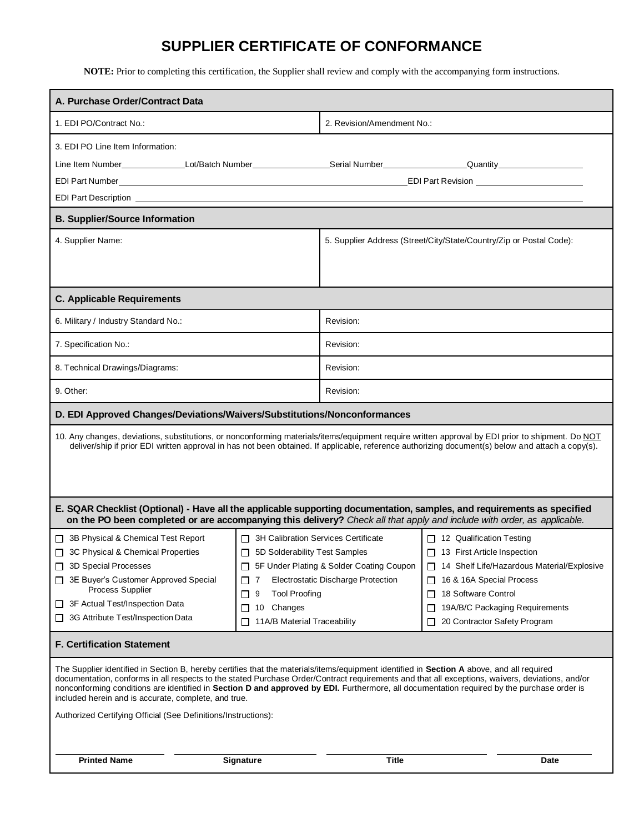# **SUPPLIER CERTIFICATE OF CONFORMANCE**

**NOTE:** Prior to completing this certification, the Supplier shall review and comply with the accompanying form instructions.

| A. Purchase Order/Contract Data                                                                                                                                                                                                                                                                                                                                                                   |                                                                                                                                                                                                                                                                                                                                                                                                                                                                                                                                                                                                                                                                                                                                   |                                                                     |                                                                                                                                                                                                                                                         |
|---------------------------------------------------------------------------------------------------------------------------------------------------------------------------------------------------------------------------------------------------------------------------------------------------------------------------------------------------------------------------------------------------|-----------------------------------------------------------------------------------------------------------------------------------------------------------------------------------------------------------------------------------------------------------------------------------------------------------------------------------------------------------------------------------------------------------------------------------------------------------------------------------------------------------------------------------------------------------------------------------------------------------------------------------------------------------------------------------------------------------------------------------|---------------------------------------------------------------------|---------------------------------------------------------------------------------------------------------------------------------------------------------------------------------------------------------------------------------------------------------|
| 1. EDI PO/Contract No.:                                                                                                                                                                                                                                                                                                                                                                           |                                                                                                                                                                                                                                                                                                                                                                                                                                                                                                                                                                                                                                                                                                                                   | 2. Revision/Amendment No.:                                          |                                                                                                                                                                                                                                                         |
| 3. EDI PO Line Item Information:<br>Line Item Number_______________Lot/Batch Number_________________Serial Number__________________Quantity______________<br>EDI Part Description <u>example and the set of the set of the set of the set of the set of the set of the set of the set of the set of the set of the set of the set of the set of the set of the set of the set of the set of t</u> |                                                                                                                                                                                                                                                                                                                                                                                                                                                                                                                                                                                                                                                                                                                                   |                                                                     |                                                                                                                                                                                                                                                         |
| <b>B. Supplier/Source Information</b>                                                                                                                                                                                                                                                                                                                                                             |                                                                                                                                                                                                                                                                                                                                                                                                                                                                                                                                                                                                                                                                                                                                   |                                                                     |                                                                                                                                                                                                                                                         |
| 4. Supplier Name:                                                                                                                                                                                                                                                                                                                                                                                 |                                                                                                                                                                                                                                                                                                                                                                                                                                                                                                                                                                                                                                                                                                                                   | 5. Supplier Address (Street/City/State/Country/Zip or Postal Code): |                                                                                                                                                                                                                                                         |
| <b>C. Applicable Requirements</b>                                                                                                                                                                                                                                                                                                                                                                 |                                                                                                                                                                                                                                                                                                                                                                                                                                                                                                                                                                                                                                                                                                                                   |                                                                     |                                                                                                                                                                                                                                                         |
| 6. Military / Industry Standard No.:                                                                                                                                                                                                                                                                                                                                                              |                                                                                                                                                                                                                                                                                                                                                                                                                                                                                                                                                                                                                                                                                                                                   | Revision:                                                           |                                                                                                                                                                                                                                                         |
| 7. Specification No.:                                                                                                                                                                                                                                                                                                                                                                             |                                                                                                                                                                                                                                                                                                                                                                                                                                                                                                                                                                                                                                                                                                                                   | Revision:                                                           |                                                                                                                                                                                                                                                         |
| 8. Technical Drawings/Diagrams:                                                                                                                                                                                                                                                                                                                                                                   |                                                                                                                                                                                                                                                                                                                                                                                                                                                                                                                                                                                                                                                                                                                                   | Revision:                                                           |                                                                                                                                                                                                                                                         |
| 9. Other:                                                                                                                                                                                                                                                                                                                                                                                         |                                                                                                                                                                                                                                                                                                                                                                                                                                                                                                                                                                                                                                                                                                                                   | Revision:                                                           |                                                                                                                                                                                                                                                         |
| D. EDI Approved Changes/Deviations/Waivers/Substitutions/Nonconformances                                                                                                                                                                                                                                                                                                                          |                                                                                                                                                                                                                                                                                                                                                                                                                                                                                                                                                                                                                                                                                                                                   |                                                                     |                                                                                                                                                                                                                                                         |
| 10. Any changes, deviations, substitutions, or nonconforming materials/items/equipment require written approval by EDI prior to shipment. Do NOT<br>deliver/ship if prior EDI written approval in has not been obtained. If applicable, reference authorizing document(s) below and attach a copy(s).                                                                                             |                                                                                                                                                                                                                                                                                                                                                                                                                                                                                                                                                                                                                                                                                                                                   |                                                                     |                                                                                                                                                                                                                                                         |
| E. SQAR Checklist (Optional) - Have all the applicable supporting documentation, samples, and requirements as specified<br>on the PO been completed or are accompanying this delivery? Check all that apply and include with order, as applicable.                                                                                                                                                |                                                                                                                                                                                                                                                                                                                                                                                                                                                                                                                                                                                                                                                                                                                                   |                                                                     |                                                                                                                                                                                                                                                         |
| 3B Physical & Chemical Test Report<br>L.<br>3C Physical & Chemical Properties<br>3D Special Processes<br>3E Buyer's Customer Approved Special<br>Process Supplier<br>3F Actual Test/Inspection Data<br>ப<br>3G Attribute Test/Inspection Data<br><b>F. Certification Statement</b><br>included herein and is accurate, complete, and true.                                                        | $\Box$ 3H Calibration Services Certificate<br>5D Solderability Test Samples<br>5F Under Plating & Solder Coating Coupon<br><b>Electrostatic Discharge Protection</b><br>7<br><b>Tool Proofing</b><br>9<br>$\mathsf{L}$<br>10 Changes<br>$\mathsf{L}$<br>11A/B Material Traceability<br>The Supplier identified in Section B, hereby certifies that the materials/items/equipment identified in Section A above, and all required<br>documentation, conforms in all respects to the stated Purchase Order/Contract requirements and that all exceptions, waivers, deviations, and/or<br>nonconforming conditions are identified in Section D and approved by EDI. Furthermore, all documentation required by the purchase order is |                                                                     | $\Box$ 12 Qualification Testing<br>□ 13 First Article Inspection<br>14 Shelf Life/Hazardous Material/Explosive<br>16 & 16A Special Process<br>18 Software Control<br>$\Box$<br>19A/B/C Packaging Requirements<br>$\Box$<br>20 Contractor Safety Program |
| Authorized Certifying Official (See Definitions/Instructions):                                                                                                                                                                                                                                                                                                                                    |                                                                                                                                                                                                                                                                                                                                                                                                                                                                                                                                                                                                                                                                                                                                   |                                                                     |                                                                                                                                                                                                                                                         |
| <b>Printed Name</b>                                                                                                                                                                                                                                                                                                                                                                               | <b>Signature</b>                                                                                                                                                                                                                                                                                                                                                                                                                                                                                                                                                                                                                                                                                                                  | <b>Title</b>                                                        | Date                                                                                                                                                                                                                                                    |